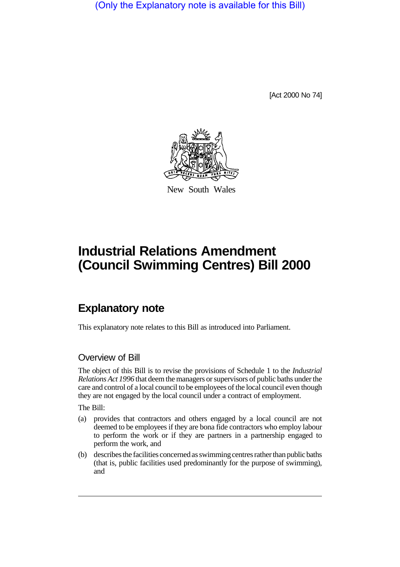(Only the Explanatory note is available for this Bill)

[Act 2000 No 74]



New South Wales

## **Industrial Relations Amendment (Council Swimming Centres) Bill 2000**

## **Explanatory note**

This explanatory note relates to this Bill as introduced into Parliament.

## Overview of Bill

The object of this Bill is to revise the provisions of Schedule 1 to the *Industrial Relations Act 1996* that deem the managers or supervisors of public baths under the care and control of a local council to be employees of the local council even though they are not engaged by the local council under a contract of employment.

The Bill:

- (a) provides that contractors and others engaged by a local council are not deemed to be employees if they are bona fide contractors who employ labour to perform the work or if they are partners in a partnership engaged to perform the work, and
- (b) describes the facilities concerned as swimming centres rather than public baths (that is, public facilities used predominantly for the purpose of swimming), and